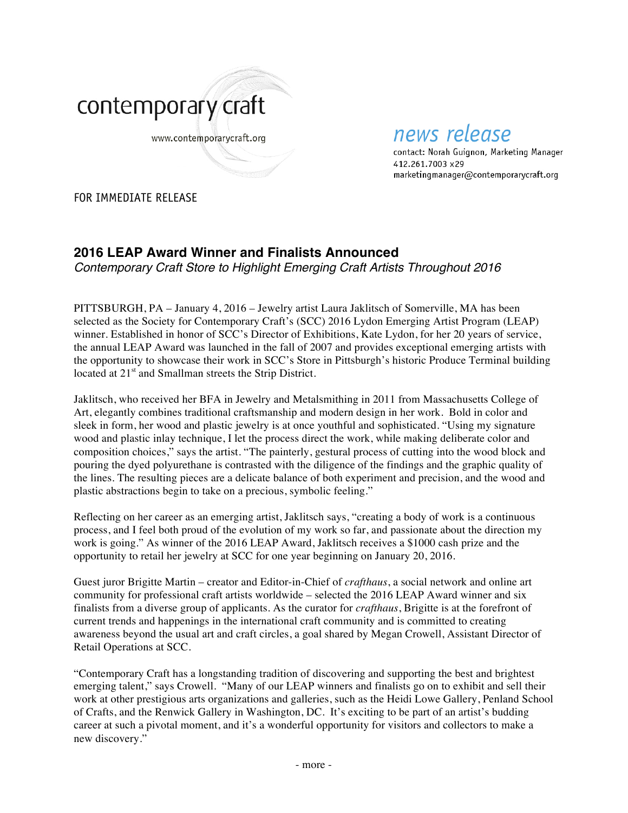

## news release

contact: Norah Guignon, Marketing Manager 412.261.7003 x29 marketingmanager@contemporarycraft.org

FOR IMMEDIATE RELEASE

## **2016 LEAP Award Winner and Finalists Announced**

*Contemporary Craft Store to Highlight Emerging Craft Artists Throughout 2016*

PITTSBURGH, PA – January 4, 2016 – Jewelry artist Laura Jaklitsch of Somerville, MA has been selected as the Society for Contemporary Craft's (SCC) 2016 Lydon Emerging Artist Program (LEAP) winner. Established in honor of SCC's Director of Exhibitions, Kate Lydon, for her 20 years of service, the annual LEAP Award was launched in the fall of 2007 and provides exceptional emerging artists with the opportunity to showcase their work in SCC's Store in Pittsburgh's historic Produce Terminal building located at 21<sup>st</sup> and Smallman streets the Strip District.

Jaklitsch, who received her BFA in Jewelry and Metalsmithing in 2011 from Massachusetts College of Art, elegantly combines traditional craftsmanship and modern design in her work. Bold in color and sleek in form, her wood and plastic jewelry is at once youthful and sophisticated. "Using my signature wood and plastic inlay technique, I let the process direct the work, while making deliberate color and composition choices," says the artist. "The painterly, gestural process of cutting into the wood block and pouring the dyed polyurethane is contrasted with the diligence of the findings and the graphic quality of the lines. The resulting pieces are a delicate balance of both experiment and precision, and the wood and plastic abstractions begin to take on a precious, symbolic feeling."

Reflecting on her career as an emerging artist, Jaklitsch says, "creating a body of work is a continuous process, and I feel both proud of the evolution of my work so far, and passionate about the direction my work is going." As winner of the 2016 LEAP Award, Jaklitsch receives a \$1000 cash prize and the opportunity to retail her jewelry at SCC for one year beginning on January 20, 2016.

Guest juror Brigitte Martin – creator and Editor-in-Chief of *crafthaus*, a social network and online art community for professional craft artists worldwide – selected the 2016 LEAP Award winner and six finalists from a diverse group of applicants. As the curator for *crafthaus*, Brigitte is at the forefront of current trends and happenings in the international craft community and is committed to creating awareness beyond the usual art and craft circles, a goal shared by Megan Crowell, Assistant Director of Retail Operations at SCC.

"Contemporary Craft has a longstanding tradition of discovering and supporting the best and brightest emerging talent," says Crowell. "Many of our LEAP winners and finalists go on to exhibit and sell their work at other prestigious arts organizations and galleries, such as the Heidi Lowe Gallery, Penland School of Crafts, and the Renwick Gallery in Washington, DC. It's exciting to be part of an artist's budding career at such a pivotal moment, and it's a wonderful opportunity for visitors and collectors to make a new discovery."